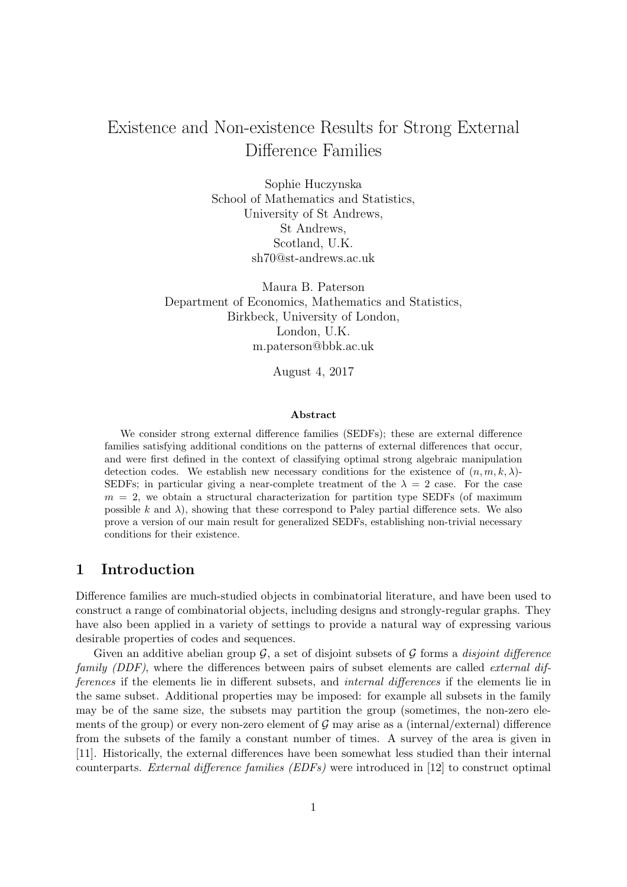# Existence and Non-existence Results for Strong External Difference Families

Sophie Huczynska School of Mathematics and Statistics, University of St Andrews, St Andrews, Scotland, U.K. sh70@st-andrews.ac.uk

Maura B. Paterson Department of Economics, Mathematics and Statistics, Birkbeck, University of London, London, U.K. m.paterson@bbk.ac.uk

August 4, 2017

#### Abstract

We consider strong external difference families (SEDFs); these are external difference families satisfying additional conditions on the patterns of external differences that occur, and were first defined in the context of classifying optimal strong algebraic manipulation detection codes. We establish new necessary conditions for the existence of  $(n, m, k, \lambda)$ -SEDFs; in particular giving a near-complete treatment of the  $\lambda = 2$  case. For the case  $m = 2$ , we obtain a structural characterization for partition type SEDFs (of maximum possible k and  $\lambda$ ), showing that these correspond to Paley partial difference sets. We also prove a version of our main result for generalized SEDFs, establishing non-trivial necessary conditions for their existence.

## 1 Introduction

Difference families are much-studied objects in combinatorial literature, and have been used to construct a range of combinatorial objects, including designs and strongly-regular graphs. They have also been applied in a variety of settings to provide a natural way of expressing various desirable properties of codes and sequences.

Given an additive abelian group  $\mathcal{G}$ , a set of disjoint subsets of  $\mathcal G$  forms a *disjoint difference* family (DDF), where the differences between pairs of subset elements are called *external dif*ferences if the elements lie in different subsets, and internal differences if the elements lie in the same subset. Additional properties may be imposed: for example all subsets in the family may be of the same size, the subsets may partition the group (sometimes, the non-zero elements of the group) or every non-zero element of  $\mathcal G$  may arise as a (internal/external) difference from the subsets of the family a constant number of times. A survey of the area is given in [11]. Historically, the external differences have been somewhat less studied than their internal counterparts. External difference families (EDFs) were introduced in [12] to construct optimal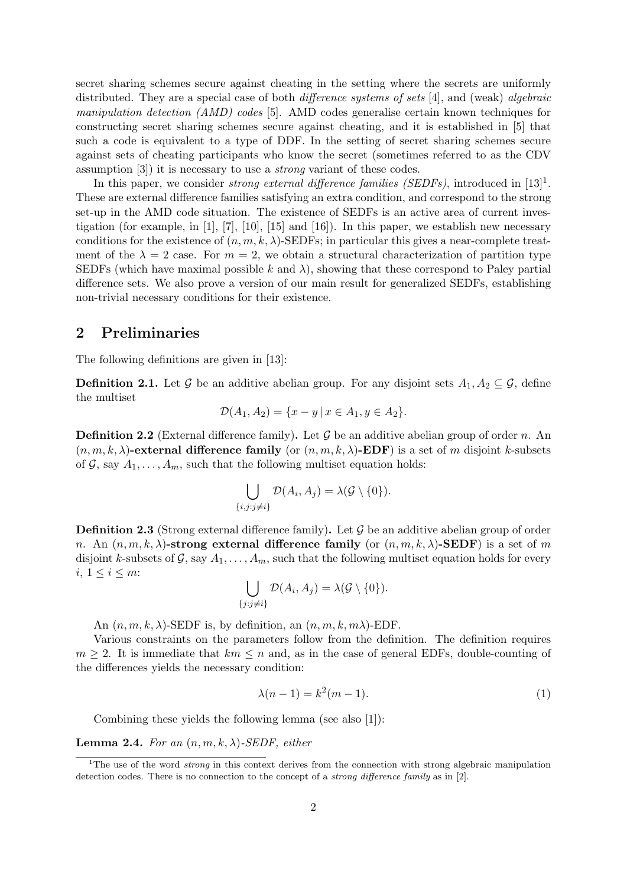secret sharing schemes secure against cheating in the setting where the secrets are uniformly distributed. They are a special case of both *difference systems of sets* [4], and (weak) *algebraic* manipulation detection  $(AMD)$  codes [5]. AMD codes generalise certain known techniques for constructing secret sharing schemes secure against cheating, and it is established in [5] that such a code is equivalent to a type of DDF. In the setting of secret sharing schemes secure against sets of cheating participants who know the secret (sometimes referred to as the CDV assumption [3]) it is necessary to use a strong variant of these codes.

In this paper, we consider *strong external difference families (SEDFs)*, introduced in  $[13]$ <sup>1</sup>. These are external difference families satisfying an extra condition, and correspond to the strong set-up in the AMD code situation. The existence of SEDFs is an active area of current investigation (for example, in [1], [7], [10], [15] and [16]). In this paper, we establish new necessary conditions for the existence of  $(n, m, k, \lambda)$ -SEDFs; in particular this gives a near-complete treatment of the  $\lambda = 2$  case. For  $m = 2$ , we obtain a structural characterization of partition type SEDFs (which have maximal possible k and  $\lambda$ ), showing that these correspond to Paley partial difference sets. We also prove a version of our main result for generalized SEDFs, establishing non-trivial necessary conditions for their existence.

### 2 Preliminaries

The following definitions are given in [13]:

**Definition 2.1.** Let G be an additive abelian group. For any disjoint sets  $A_1, A_2 \subseteq G$ , define the multiset

$$
\mathcal{D}(A_1, A_2) = \{x - y \mid x \in A_1, y \in A_2\}.
$$

**Definition 2.2** (External difference family). Let G be an additive abelian group of order n. An  $(n, m, k, \lambda)$ -external difference family (or  $(n, m, k, \lambda)$ -EDF) is a set of m disjoint k-subsets of G, say  $A_1, \ldots, A_m$ , such that the following multiset equation holds:

$$
\bigcup_{\{i,j:j\neq i\}} \mathcal{D}(A_i,A_j)=\lambda(\mathcal{G}\setminus\{0\}).
$$

**Definition 2.3** (Strong external difference family). Let  $\mathcal G$  be an additive abelian group of order n. An  $(n, m, k, \lambda)$ -strong external difference family (or  $(n, m, k, \lambda)$ -SEDF) is a set of m disjoint k-subsets of G, say  $A_1, \ldots, A_m$ , such that the following multiset equation holds for every i,  $1 \leq i \leq m$ :

$$
\bigcup_{\{j:j\neq i\}} \mathcal{D}(A_i,A_j)=\lambda(\mathcal{G}\setminus\{0\}).
$$

An  $(n, m, k, \lambda)$ -SEDF is, by definition, an  $(n, m, k, m\lambda)$ -EDF.

Various constraints on the parameters follow from the definition. The definition requires  $m \geq 2$ . It is immediate that  $km \leq n$  and, as in the case of general EDFs, double-counting of the differences yields the necessary condition:

$$
\lambda(n-1) = k^2(m-1). \tag{1}
$$

Combining these yields the following lemma (see also [1]):

**Lemma 2.4.** For an  $(n, m, k, \lambda)$ -SEDF, either

<sup>&</sup>lt;sup>1</sup>The use of the word *strong* in this context derives from the connection with strong algebraic manipulation detection codes. There is no connection to the concept of a strong difference family as in [2].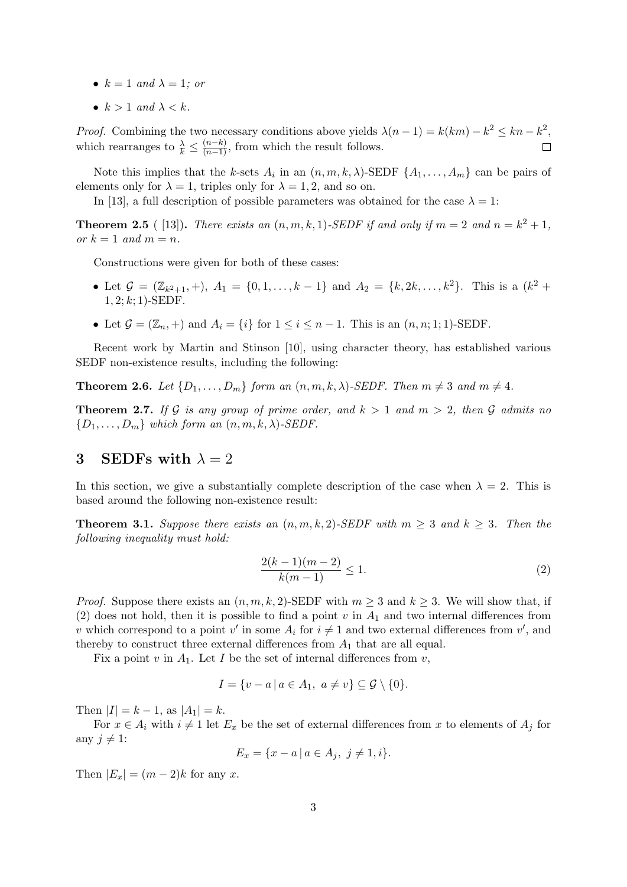- $k = 1$  and  $\lambda = 1$ ; or
- $k > 1$  and  $\lambda < k$ .

*Proof.* Combining the two necessary conditions above yields  $\lambda(n-1) = k(km) - k^2 \leq kn - k^2$ , which rearranges to  $\frac{\lambda}{k} \leq \frac{(n-k)}{(n-1)}$ , from which the result follows.  $\Box$ 

Note this implies that the k-sets  $A_i$  in an  $(n, m, k, \lambda)$ -SEDF  $\{A_1, \ldots, A_m\}$  can be pairs of elements only for  $\lambda = 1$ , triples only for  $\lambda = 1, 2$ , and so on.

In [13], a full description of possible parameters was obtained for the case  $\lambda = 1$ :

**Theorem 2.5** ([13]). There exists an  $(n, m, k, 1)$ -SEDF if and only if  $m = 2$  and  $n = k^2 + 1$ , or  $k = 1$  and  $m = n$ .

Constructions were given for both of these cases:

- Let  $\mathcal{G} = (\mathbb{Z}_{k^2+1}, +)$ ,  $A_1 = \{0, 1, ..., k-1\}$  and  $A_2 = \{k, 2k, ..., k^2\}$ . This is a  $(k^2 +$  $1, 2; k; 1$  -SEDF.
- Let  $\mathcal{G} = (\mathbb{Z}_n, +)$  and  $A_i = \{i\}$  for  $1 \leq i \leq n-1$ . This is an  $(n, n; 1; 1)$ -SEDF.

Recent work by Martin and Stinson [10], using character theory, has established various SEDF non-existence results, including the following:

**Theorem 2.6.** Let  $\{D_1, \ldots, D_m\}$  form an  $(n, m, k, \lambda)$ -SEDF. Then  $m \neq 3$  and  $m \neq 4$ .

**Theorem 2.7.** If G is any group of prime order, and  $k > 1$  and  $m > 2$ , then G admits no  ${D_1, \ldots, D_m}$  which form an  $(n, m, k, \lambda)$ -SEDF.

# 3 SEDFs with  $\lambda = 2$

In this section, we give a substantially complete description of the case when  $\lambda = 2$ . This is based around the following non-existence result:

**Theorem 3.1.** Suppose there exists an  $(n, m, k, 2)$ -SEDF with  $m \geq 3$  and  $k \geq 3$ . Then the following inequality must hold:

$$
\frac{2(k-1)(m-2)}{k(m-1)} \le 1.
$$
\n(2)

*Proof.* Suppose there exists an  $(n, m, k, 2)$ -SEDF with  $m \geq 3$  and  $k \geq 3$ . We will show that, if (2) does not hold, then it is possible to find a point  $v$  in  $A_1$  and two internal differences from v which correspond to a point v' in some  $A_i$  for  $i \neq 1$  and two external differences from v', and thereby to construct three external differences from  $A_1$  that are all equal.

Fix a point v in  $A_1$ . Let I be the set of internal differences from v,

$$
I = \{v - a \mid a \in A_1, \ a \neq v\} \subseteq \mathcal{G} \setminus \{0\}.
$$

Then  $|I| = k - 1$ , as  $|A_1| = k$ .

For  $x \in A_i$  with  $i \neq 1$  let  $E_x$  be the set of external differences from x to elements of  $A_i$  for any  $j \neq 1$ :

$$
E_x = \{x - a \mid a \in A_j, \ j \neq 1, i\}.
$$

Then  $|E_x| = (m-2)k$  for any x.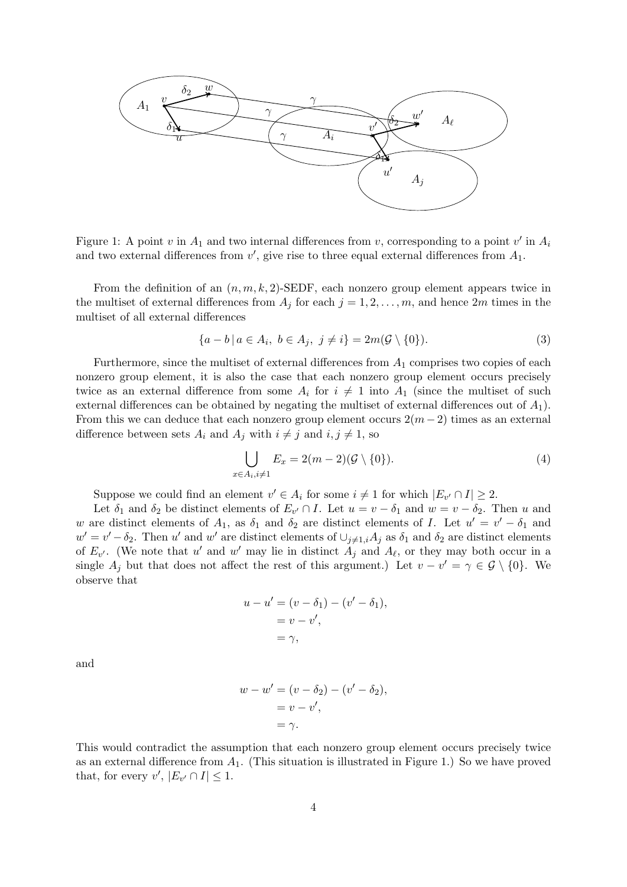

Figure 1: A point v in  $A_1$  and two internal differences from v, corresponding to a point v' in  $A_i$ and two external differences from  $v'$ , give rise to three equal external differences from  $A_1$ .

From the definition of an  $(n, m, k, 2)$ -SEDF, each nonzero group element appears twice in the multiset of external differences from  $A_j$  for each  $j = 1, 2, \ldots, m$ , and hence  $2m$  times in the multiset of all external differences

$$
\{a-b \mid a \in A_i, \ b \in A_j, \ j \neq i\} = 2m(\mathcal{G} \setminus \{0\}).\tag{3}
$$

Furthermore, since the multiset of external differences from  $A_1$  comprises two copies of each nonzero group element, it is also the case that each nonzero group element occurs precisely twice as an external difference from some  $A_i$  for  $i \neq 1$  into  $A_1$  (since the multiset of such external differences can be obtained by negating the multiset of external differences out of  $A_1$ ). From this we can deduce that each nonzero group element occurs  $2(m-2)$  times as an external difference between sets  $A_i$  and  $A_j$  with  $i \neq j$  and  $i, j \neq 1$ , so

$$
\bigcup_{x \in A_i, i \neq 1} E_x = 2(m-2)(\mathcal{G} \setminus \{0\}).\tag{4}
$$

Suppose we could find an element  $v' \in A_i$  for some  $i \neq 1$  for which  $|E_{v'} \cap I| \geq 2$ .

Let  $\delta_1$  and  $\delta_2$  be distinct elements of  $E_{v'} \cap I$ . Let  $u = v - \delta_1$  and  $w = v - \delta_2$ . Then u and w are distinct elements of  $A_1$ , as  $\delta_1$  and  $\delta_2$  are distinct elements of I. Let  $u' = v' - \delta_1$  and  $w' = v' - \delta_2$ . Then u' and w' are distinct elements of  $\cup_{j\neq 1,i} A_j$  as  $\delta_1$  and  $\delta_2$  are distinct elements of  $E_{v'}$ . (We note that u' and w' may lie in distinct  $A_j$  and  $A_\ell$ , or they may both occur in a single  $A_j$  but that does not affect the rest of this argument.) Let  $v - v' = \gamma \in \mathcal{G} \setminus \{0\}$ . We observe that

$$
u - u' = (v - \delta_1) - (v' - \delta_1),
$$
  
= v - v',  
=  $\gamma$ ,

and

$$
w - w' = (v - \delta_2) - (v' - \delta_2),
$$
  
= v - v',  
=  $\gamma$ .

This would contradict the assumption that each nonzero group element occurs precisely twice as an external difference from  $A_1$ . (This situation is illustrated in Figure 1.) So we have proved that, for every  $v', |E_{v'} \cap I| \leq 1$ .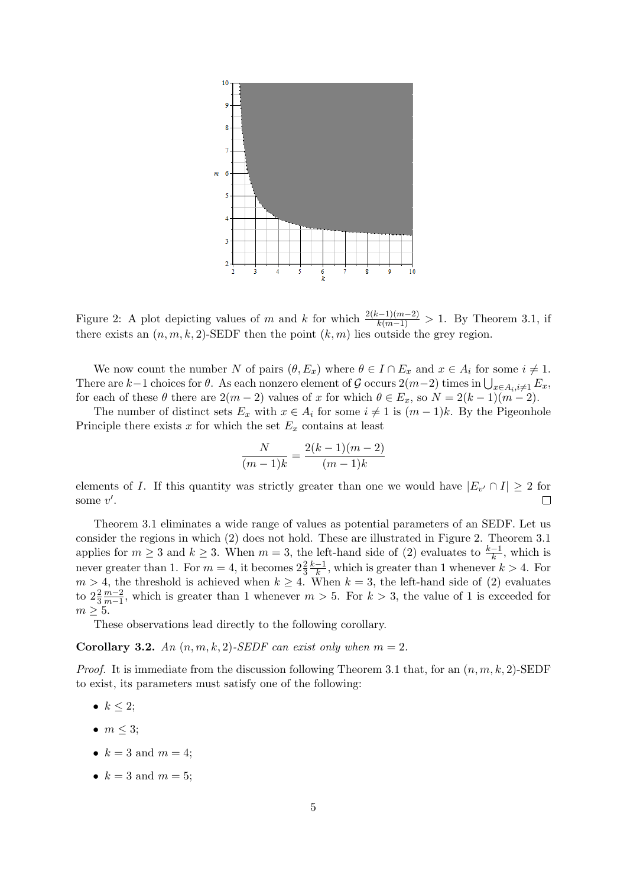

Figure 2: A plot depicting values of m and k for which  $\frac{2(k-1)(m-2)}{k(m-1)} > 1$ . By Theorem 3.1, if there exists an  $(n, m, k, 2)$ -SEDF then the point  $(k, m)$  lies outside the grey region.

We now count the number N of pairs  $(\theta, E_x)$  where  $\theta \in I \cap E_x$  and  $x \in A_i$  for some  $i \neq 1$ . There are k-1 choices for  $\theta$ . As each nonzero element of G occurs  $2(m-2)$  times in  $\bigcup_{x\in A_i, i\neq 1} E_x$ , for each of these  $\theta$  there are  $2(m-2)$  values of x for which  $\theta \in E_x$ , so  $N = 2(k-1)(m-2)$ .

The number of distinct sets  $E_x$  with  $x \in A_i$  for some  $i \neq 1$  is  $(m-1)k$ . By the Pigeonhole Principle there exists  $x$  for which the set  $E_x$  contains at least

$$
\frac{N}{(m-1)k} = \frac{2(k-1)(m-2)}{(m-1)k}
$$

elements of I. If this quantity was strictly greater than one we would have  $|E_{v'} \cap I| \geq 2$  for some  $v'$ .  $\Box$ 

Theorem 3.1 eliminates a wide range of values as potential parameters of an SEDF. Let us consider the regions in which (2) does not hold. These are illustrated in Figure 2. Theorem 3.1 applies for  $m \geq 3$  and  $k \geq 3$ . When  $m = 3$ , the left-hand side of (2) evaluates to  $\frac{k-1}{k}$ , which is never greater than 1. For  $m = 4$ , it becomes  $2\frac{2}{3}$  $k-1$  $\frac{-1}{k}$ , which is greater than 1 whenever  $k > 4$ . For  $m > 4$ , the threshold is achieved when  $k \geq 4$ . When  $k = 3$ , the left-hand side of (2) evaluates to  $2\frac{2}{3}$  $m-2$  $\frac{m-2}{m-1}$ , which is greater than 1 whenever  $m > 5$ . For  $k > 3$ , the value of 1 is exceeded for  $m \geq 5$ .

These observations lead directly to the following corollary.

Corollary 3.2. An  $(n, m, k, 2)$ -SEDF can exist only when  $m = 2$ .

*Proof.* It is immediate from the discussion following Theorem 3.1 that, for an  $(n, m, k, 2)$ -SEDF to exist, its parameters must satisfy one of the following:

- $k \leq 2$ ;
- $\bullet$   $m \leq 3$ ;
- $k = 3$  and  $m = 4$ ;
- $k = 3$  and  $m = 5$ ;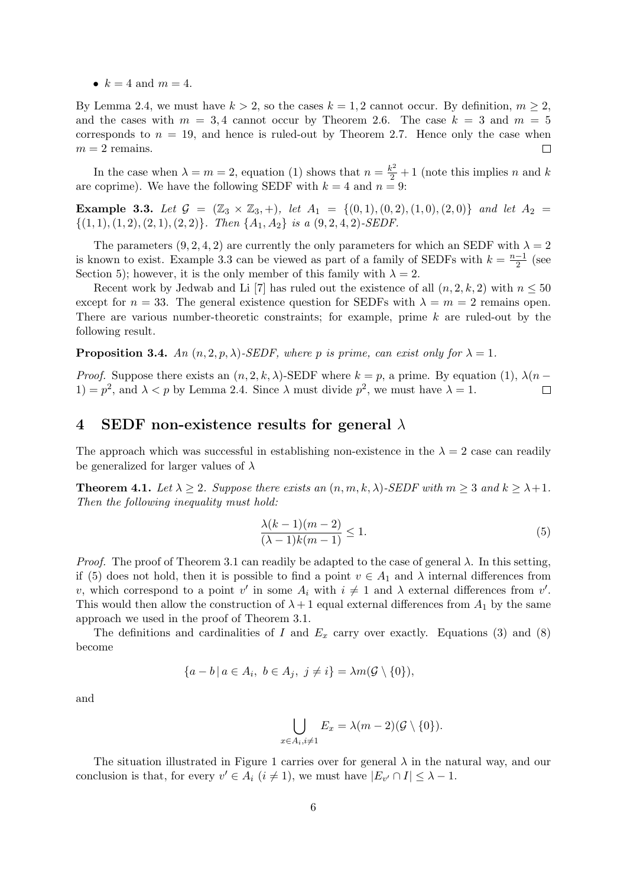•  $k = 4$  and  $m = 4$ .

By Lemma 2.4, we must have  $k > 2$ , so the cases  $k = 1, 2$  cannot occur. By definition,  $m \geq 2$ , and the cases with  $m = 3.4$  cannot occur by Theorem 2.6. The case  $k = 3$  and  $m = 5$ corresponds to  $n = 19$ , and hence is ruled-out by Theorem 2.7. Hence only the case when  $m = 2$  remains.  $\Box$ 

In the case when  $\lambda = m = 2$ , equation (1) shows that  $n = \frac{k^2}{2} + 1$  (note this implies n and k are coprime). We have the following SEDF with  $k = 4$  and  $n = 9$ :

Example 3.3. Let  $G = (\mathbb{Z}_3 \times \mathbb{Z}_3, +)$ , let  $A_1 = \{(0,1), (0,2), (1,0), (2,0)\}$  and let  $A_2 =$  $\{(1, 1), (1, 2), (2, 1), (2, 2)\}.$  Then  $\{A_1, A_2\}$  is a  $(9, 2, 4, 2)$ -SEDF.

The parameters  $(9, 2, 4, 2)$  are currently the only parameters for which an SEDF with  $\lambda = 2$ is known to exist. Example 3.3 can be viewed as part of a family of SEDFs with  $k = \frac{n-1}{2}$  $\frac{-1}{2}$  (see Section 5); however, it is the only member of this family with  $\lambda = 2$ .

Recent work by Jedwab and Li [7] has ruled out the existence of all  $(n, 2, k, 2)$  with  $n \leq 50$ except for  $n = 33$ . The general existence question for SEDFs with  $\lambda = m = 2$  remains open. There are various number-theoretic constraints; for example, prime  $k$  are ruled-out by the following result.

**Proposition 3.4.** An  $(n, 2, p, \lambda)$ -SEDF, where p is prime, can exist only for  $\lambda = 1$ .

*Proof.* Suppose there exists an  $(n, 2, k, \lambda)$ -SEDF where  $k = p$ , a prime. By equation (1),  $\lambda(n - k)$ 1) =  $p^2$ , and  $\lambda < p$  by Lemma 2.4. Since  $\lambda$  must divide  $p^2$ , we must have  $\lambda = 1$ .  $\Box$ 

### 4 SEDF non-existence results for general  $\lambda$

The approach which was successful in establishing non-existence in the  $\lambda = 2$  case can readily be generalized for larger values of  $\lambda$ 

**Theorem 4.1.** Let  $\lambda \geq 2$ . Suppose there exists an  $(n, m, k, \lambda)$ -SEDF with  $m \geq 3$  and  $k \geq \lambda + 1$ . Then the following inequality must hold:

$$
\frac{\lambda(k-1)(m-2)}{(\lambda-1)k(m-1)} \le 1.
$$
\n<sup>(5)</sup>

*Proof.* The proof of Theorem 3.1 can readily be adapted to the case of general  $\lambda$ . In this setting, if (5) does not hold, then it is possible to find a point  $v \in A_1$  and  $\lambda$  internal differences from v, which correspond to a point v' in some  $A_i$  with  $i \neq 1$  and  $\lambda$  external differences from v'. This would then allow the construction of  $\lambda + 1$  equal external differences from  $A_1$  by the same approach we used in the proof of Theorem 3.1.

The definitions and cardinalities of I and  $E_x$  carry over exactly. Equations (3) and (8) become

$$
\{a-b \mid a \in A_i, b \in A_j, j \neq i\} = \lambda m(\mathcal{G} \setminus \{0\}),
$$

 $\boldsymbol{x}$ 

and

$$
\bigcup_{\substack{\in A_i, i\neq 1}} E_x = \lambda(m-2)(\mathcal{G} \setminus \{0\}).
$$

The situation illustrated in Figure 1 carries over for general  $\lambda$  in the natural way, and our conclusion is that, for every  $v' \in A_i$   $(i \neq 1)$ , we must have  $|E_{v'} \cap I| \leq \lambda - 1$ .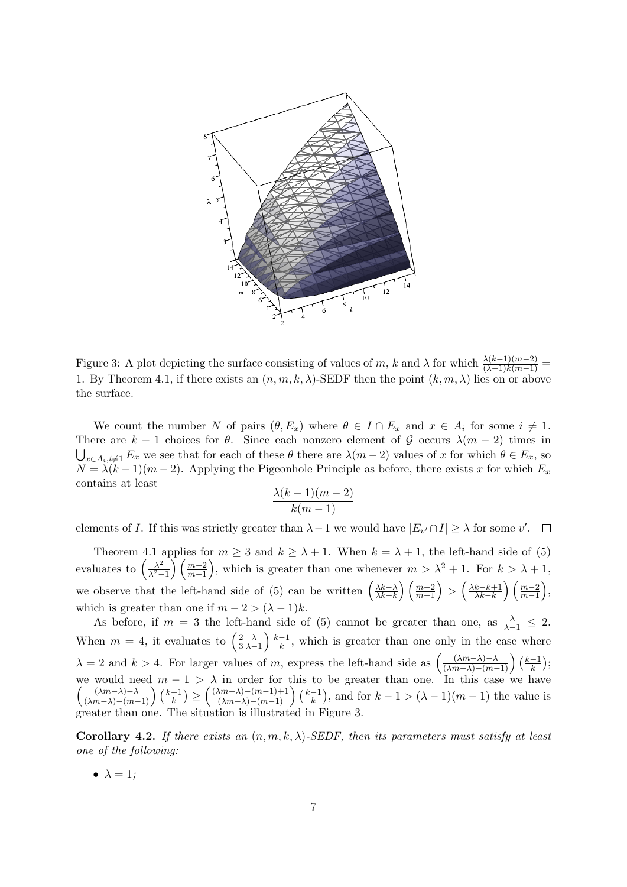

Figure 3: A plot depicting the surface consisting of values of m, k and  $\lambda$  for which  $\frac{\lambda(k-1)(m-2)}{(\lambda-1)(k(m-1))}$ 1. By Theorem 4.1, if there exists an  $(n, m, k, \lambda)$ -SEDF then the point  $(k, m, \lambda)$  lies on or above the surface.

We count the number N of pairs  $(\theta, E_x)$  where  $\theta \in I \cap E_x$  and  $x \in A_i$  for some  $i \neq 1$ . There are  $k - 1$  choices for  $\theta$ . Since each nonzero element of G occurs  $\lambda(m - 2)$  times in  $\bigcup_{x\in A_i, i\neq 1} E_x$  we see that for each of these  $\theta$  there are  $\lambda(m-2)$  values of x for which  $\theta \in E_x$ , so  $N = \lambda(k-1)(m-2)$ . Applying the Pigeonhole Principle as before, there exists x for which  $E_x$ contains at least

$$
\frac{\lambda(k-1)(m-2)}{k(m-1)}
$$

elements of I. If this was strictly greater than  $\lambda - 1$  we would have  $|E_{v'} \cap I| \geq \lambda$  for some v'.  $\Box$ 

Theorem 4.1 applies for  $m \geq 3$  and  $k \geq \lambda + 1$ . When  $k = \lambda + 1$ , the left-hand side of (5) evaluates to  $\left(\frac{\lambda^2}{\lambda^2}\right)$  $\frac{\lambda^2}{\lambda^2-1}$   $\left(\frac{m-2}{m-1}\right)$ , which is greater than one whenever  $m > \lambda^2 + 1$ . For  $k > \lambda + 1$ , we observe that the left-hand side of (5) can be written  $\left(\frac{\lambda k-\lambda}{\lambda k-k}\right)$  $\left(\frac{\lambda k-\lambda}{\lambda k-k}\right)\left(\frac{m-2}{m-1}\right) > \left(\frac{\lambda k-k+1}{\lambda k-k}\right)$  $\frac{k-k+1}{\lambda k-k}\right)\left(\frac{m-2}{m-1}\right),$ which is greater than one if  $m - 2 > (\lambda - 1)k$ .

As before, if  $m = 3$  the left-hand side of (5) cannot be greater than one, as  $\frac{\lambda}{\lambda-1} \leq 2$ . When  $m = 4$ , it evaluates to  $\left(\frac{2}{3}\right)$ 3  $\frac{\lambda}{\lambda-1}$   $\frac{k-1}{k}$  $\frac{-1}{k}$ , which is greater than one only in the case where  $\lambda = 2$  and  $k > 4$ . For larger values of m, express the left-hand side as  $\left(\frac{(\lambda m - \lambda) - \lambda}{(\lambda m - \lambda) - (m-1)}\right) \left(\frac{k-1}{k}\right)$  $\frac{-1}{k}$ ); we would need  $m-1 > \lambda$  in order for this to be greater than one. In this case we have  $\left(\frac{(\lambda m-\lambda)-\lambda}{(\lambda m-\lambda)-(m-1)}\right)\left(\frac{k-1}{k}\right)$  $\frac{(-1)}{k}\geq \left(\frac{(\lambda m-\lambda)-(m-1)+1}{(\lambda m-\lambda)-(m-1)}\right)\left(\frac{k-1}{k}\right)$  $\frac{-1}{k}$ , and for  $k - 1 > (\lambda - 1)(m - 1)$  the value is greater than one. The situation is illustrated in Figure 3.

Corollary 4.2. If there exists an  $(n, m, k, \lambda)$ -SEDF, then its parameters must satisfy at least one of the following:

•  $\lambda = 1$ :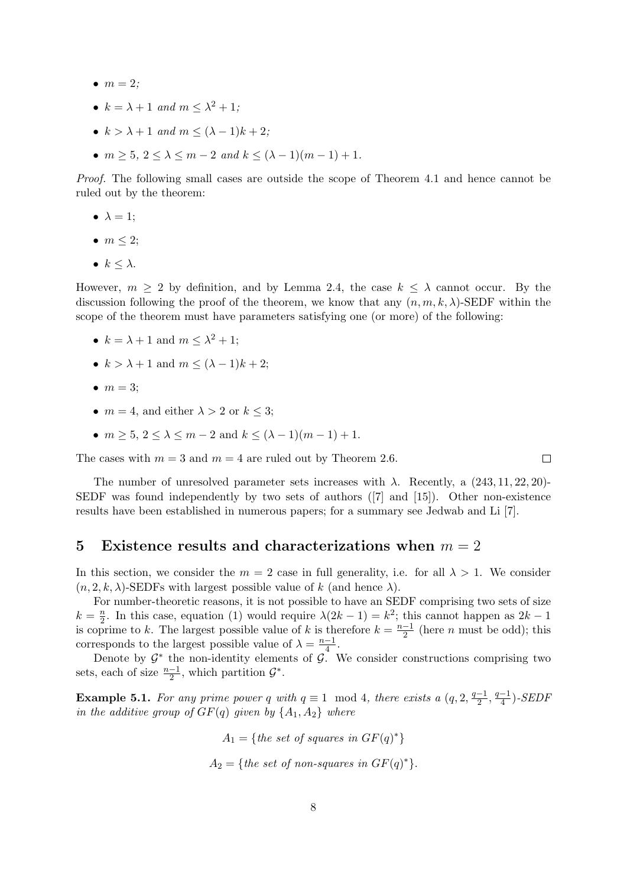- $\bullet$   $m = 2;$
- $k = \lambda + 1$  and  $m \leq \lambda^2 + 1$ ;
- $k > \lambda + 1$  and  $m \leq (\lambda 1)k + 2$ ;
- $m \ge 5$ ,  $2 \le \lambda \le m 2$  and  $k \le (\lambda 1)(m 1) + 1$ .

Proof. The following small cases are outside the scope of Theorem 4.1 and hence cannot be ruled out by the theorem:

- $\lambda = 1$ ;
- $\bullet$   $m \leq 2$ ;
- $k \leq \lambda$ .

However,  $m \geq 2$  by definition, and by Lemma 2.4, the case  $k \leq \lambda$  cannot occur. By the discussion following the proof of the theorem, we know that any  $(n, m, k, \lambda)$ -SEDF within the scope of the theorem must have parameters satisfying one (or more) of the following:

- $k = \lambda + 1$  and  $m \leq \lambda^2 + 1$ ;
- $k > \lambda + 1$  and  $m \leq (\lambda 1)k + 2$ ;
- $\bullet$   $m = 3$ :
- $m = 4$ , and either  $\lambda > 2$  or  $k \leq 3$ ;
- $m > 5$ ,  $2 < \lambda < m 2$  and  $k < (\lambda 1)(m 1) + 1$ .

The cases with  $m = 3$  and  $m = 4$  are ruled out by Theorem 2.6.

The number of unresolved parameter sets increases with  $\lambda$ . Recently, a (243, 11, 22, 20)-SEDF was found independently by two sets of authors ([7] and [15]). Other non-existence results have been established in numerous papers; for a summary see Jedwab and Li [7].

#### 5 Existence results and characterizations when  $m = 2$

In this section, we consider the  $m = 2$  case in full generality, i.e. for all  $\lambda > 1$ . We consider  $(n, 2, k, \lambda)$ -SEDFs with largest possible value of k (and hence  $\lambda$ ).

For number-theoretic reasons, it is not possible to have an SEDF comprising two sets of size  $k=\frac{n}{2}$  $\frac{n}{2}$ . In this case, equation (1) would require  $\lambda(2k-1) = k^2$ ; this cannot happen as  $2k-1$ is coprime to k. The largest possible value of k is therefore  $k = \frac{n-1}{2}$  $\frac{-1}{2}$  (here *n* must be odd); this corresponds to the largest possible value of  $\lambda = \frac{n-1}{4}$  $\frac{-1}{4}$ .

Denote by  $\mathcal{G}^*$  the non-identity elements of  $\mathcal{G}$ . We consider constructions comprising two sets, each of size  $\frac{n-1}{2}$ , which partition  $\mathcal{G}^*$ .

**Example 5.1.** For any prime power q with  $q \equiv 1 \mod 4$ , there exists a  $(q, 2, \frac{q-1}{2})$  $\frac{-1}{2}, \frac{q-1}{4}$  $\frac{-1}{4}$ )-SEDF in the additive group of  $GF(q)$  given by  $\{A_1, A_2\}$  where

> $A_1 = \{the\ set\ of\ squares\ in\ GF(q)^*\}$  $A_2 = \{the \ set \ of \ non-squares \ in \ GF(q)^*\}.$

 $\Box$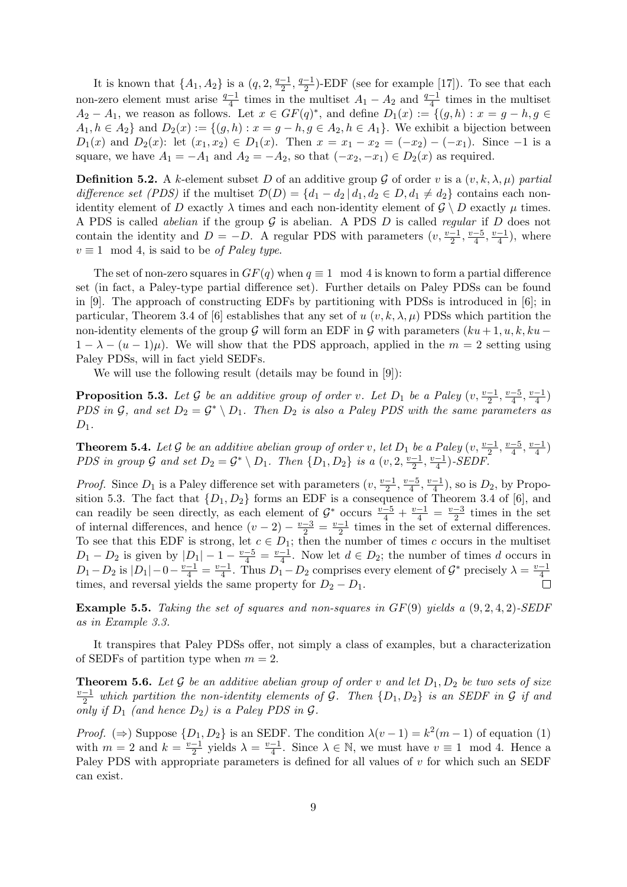It is known that  $\{A_1, A_2\}$  is a  $(q, 2, \frac{q-1}{2})$  $\frac{-1}{2}, \frac{q-1}{2}$  $\frac{-1}{2}$ )-EDF (see for example [17]). To see that each non-zero element must arise  $\frac{q-1}{4}$  times in the multiset  $A_1 - A_2$  and  $\frac{q-1}{4}$  times in the multiset  $A_2 - A_1$ , we reason as follows. Let  $x \in GF(q)^*$ , and define  $D_1(x) := \{(g,h) : x = g-h, g \in$  $A_1, h \in A_2$  and  $D_2(x) := \{(g, h) : x = g - h, g \in A_2, h \in A_1\}$ . We exhibit a bijection between  $D_1(x)$  and  $D_2(x)$ : let  $(x_1, x_2) \in D_1(x)$ . Then  $x = x_1 - x_2 = (-x_2) - (-x_1)$ . Since  $-1$  is a square, we have  $A_1 = -A_1$  and  $A_2 = -A_2$ , so that  $(-x_2, -x_1) \in D_2(x)$  as required.

**Definition 5.2.** A k-element subset D of an additive group G of order v is a  $(v, k, \lambda, \mu)$  partial difference set (PDS) if the multiset  $\mathcal{D}(D) = \{d_1 - d_2 | d_1, d_2 \in D, d_1 \neq d_2\}$  contains each nonidentity element of D exactly  $\lambda$  times and each non-identity element of  $\mathcal{G} \setminus D$  exactly  $\mu$  times. A PDS is called *abelian* if the group  $G$  is abelian. A PDS  $D$  is called *regular* if  $D$  does not contain the identity and  $D = -D$ . A regular PDS with parameters  $(v, \frac{v-1}{2}, \frac{v-5}{4})$  $\frac{-5}{4}$ ,  $\frac{v-1}{4}$  $\frac{-1}{4}$ , where  $v \equiv 1 \mod 4$ , is said to be *of Paley type.* 

The set of non-zero squares in  $GF(q)$  when  $q \equiv 1 \mod 4$  is known to form a partial difference set (in fact, a Paley-type partial difference set). Further details on Paley PDSs can be found in [9]. The approach of constructing EDFs by partitioning with PDSs is introduced in [6]; in particular, Theorem 3.4 of [6] establishes that any set of u  $(v, k, \lambda, \mu)$  PDSs which partition the non-identity elements of the group G will form an EDF in G with parameters  $(ku + 1, u, k, ku 1 - \lambda - (u - 1)\mu$ ). We will show that the PDS approach, applied in the  $m = 2$  setting using Paley PDSs, will in fact yield SEDFs.

We will use the following result (details may be found in [9]):

**Proposition 5.3.** Let G be an additive group of order v. Let  $D_1$  be a Paley  $(v, \frac{v-1}{2}, \frac{v-5}{4})$  $\frac{-5}{4}$ ,  $\frac{v-1}{4}$  $\frac{-1}{4}$ PDS in G, and set  $D_2 = \mathcal{G}^* \setminus D_1$ . Then  $D_2$  is also a Paley PDS with the same parameters as  $D_1$ .

**Theorem 5.4.** Let G be an additive abelian group of order v, let  $D_1$  be a Paley  $(v, \frac{v-1}{2}, \frac{v-5}{4})$  $\frac{-5}{4}$ ,  $\frac{v-1}{4}$  $\frac{-1}{4}$ PDS in group G and set  $D_2 = \mathcal{G}^* \setminus D_1$ . Then  $\{D_1, D_2\}$  is a  $(v, 2, \frac{v-1}{2})$  $\frac{-1}{2}, \frac{v-1}{4}$  $\frac{-1}{4}$ )-SEDF.

*Proof.* Since  $D_1$  is a Paley difference set with parameters  $(v, \frac{v-1}{2}, \frac{v-5}{4})$  $\frac{-5}{4}$ ,  $\frac{v-1}{4}$  $\frac{-1}{4}$ ), so is  $D_2$ , by Proposition 5.3. The fact that  $\{D_1, D_2\}$  forms an EDF is a consequence of Theorem 3.4 of [6], and can readily be seen directly, as each element of  $\mathcal{G}^*$  occurs  $\frac{v-5}{4} + \frac{v-1}{4} = \frac{v-3}{2}$  $\frac{-3}{2}$  times in the set of internal differences, and hence  $(v-2) - \frac{v-3}{2} = \frac{v-1}{2}$  $\frac{-1}{2}$  times in the set of external differences. To see that this EDF is strong, let  $c \in D_1$ ; then the number of times c occurs in the multiset  $D_1 - D_2$  is given by  $|D_1| - 1 - \frac{v-5}{4} = \frac{v-1}{4}$  $\frac{-1}{4}$ . Now let  $d \in D_2$ ; the number of times d occurs in  $D_1 - D_2$  is  $|D_1| - 0 - \frac{v-1}{4} = \frac{v-1}{4}$  $\frac{-1}{4}$ . Thus  $D_1 - D_2$  comprises every element of  $\mathcal{G}^*$  precisely  $\lambda = \frac{v-1}{4}$ 4 times, and reversal yields the same property for  $D_2 - D_1$ .

**Example 5.5.** Taking the set of squares and non-squares in  $GF(9)$  yields a  $(9, 2, 4, 2)$ -SEDF as in Example 3.3.

It transpires that Paley PDSs offer, not simply a class of examples, but a characterization of SEDFs of partition type when  $m = 2$ .

**Theorem 5.6.** Let G be an additive abelian group of order v and let  $D_1, D_2$  be two sets of size<br> $\frac{v-1}{v}$  which partition the non-identity elements of G. Then  $D_1$ ,  $D_2$  is an SEDE in G if and  $\frac{-1}{2}$  which partition the non-identity elements of G. Then  $\{D_1,D_2\}$  is an SEDF in G if and only if  $D_1$  (and hence  $D_2$ ) is a Paley PDS in  $\mathcal{G}$ .

*Proof.* ( $\Rightarrow$ ) Suppose  $\{D_1, D_2\}$  is an SEDF. The condition  $\lambda(v-1) = k^2(m-1)$  of equation (1) with  $m=2$  and  $k=\frac{v-1}{2}$  $\frac{-1}{2}$  yields  $\lambda = \frac{v-1}{4}$  $\frac{-1}{4}$ . Since  $\lambda \in \mathbb{N}$ , we must have  $v \equiv 1 \mod 4$ . Hence a Paley PDS with appropriate parameters is defined for all values of v for which such an SEDF can exist.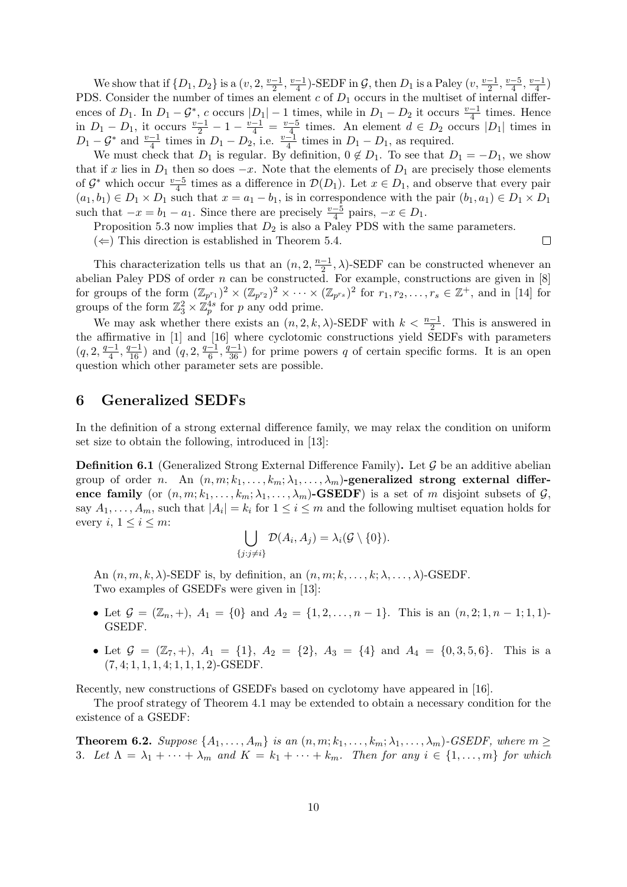We show that if  $\{D_1, D_2\}$  is a  $(v, 2, \frac{v-1}{2})$  $\frac{-1}{2}, \frac{v-1}{4}$  $\frac{-1}{4}$ )-SEDF in G, then  $D_1$  is a Paley  $(v, \frac{v-1}{2}, \frac{v-5}{4})$  $\frac{-5}{4}$ ,  $\frac{v-1}{4}$  $\frac{-1}{4}$ PDS. Consider the number of times an element  $c$  of  $D_1$  occurs in the multiset of internal differences of  $D_1$ . In  $D_1 - G^*$ , c occurs  $|D_1| - 1$  times, while in  $D_1 - D_2$  it occurs  $\frac{v-1}{4}$  times. Hence in  $D_1 - D_1$ , it occurs  $\frac{v-1}{2} - 1 - \frac{v-1}{4} = \frac{v-5}{4}$  $\frac{-5}{4}$  times. An element  $d \in D_2$  occurs  $|D_1|$  times in  $D_1 - G^*$  and  $\frac{v-1}{4}$  times in  $D_1 - D_2$ , i.e.  $\frac{v-1}{4}$  times in  $D_1 - D_1$ , as required.

We must check that  $D_1$  is regular. By definition,  $0 \notin D_1$ . To see that  $D_1 = -D_1$ , we show that if x lies in  $D_1$  then so does  $-x$ . Note that the elements of  $D_1$  are precisely those elements of  $\mathcal{G}^*$  which occur  $\frac{v-5}{4}$  times as a difference in  $\mathcal{D}(D_1)$ . Let  $x \in D_1$ , and observe that every pair  $(a_1, b_1) \in D_1 \times D_1$  such that  $x = a_1 - b_1$ , is in correspondence with the pair  $(b_1, a_1) \in D_1 \times D_1$ such that  $-x = b_1 - a_1$ . Since there are precisely  $\frac{v-5}{4}$  pairs,  $-x \in D_1$ .

Proposition 5.3 now implies that  $D_2$  is also a Paley PDS with the same parameters.

 $(\Leftarrow)$  This direction is established in Theorem 5.4.

This characterization tells us that an  $(n, 2, \frac{n-1}{2})$  $\frac{-1}{2}$ ,  $\lambda$ )-SEDF can be constructed whenever an abelian Paley PDS of order  $n$  can be constructed. For example, constructions are given in  $[8]$ for groups of the form  $(\mathbb{Z}_{p^{r_1}})^2 \times (\mathbb{Z}_{p^{r_2}})^2 \times \cdots \times (\mathbb{Z}_{p^{r_s}})^2$  for  $r_1, r_2, \ldots, r_s \in \mathbb{Z}^+$ , and in [14] for groups of the form  $\mathbb{Z}_3^2 \times \mathbb{Z}_p^{4s}$  for p any odd prime.

We may ask whether there exists an  $(n, 2, k, \lambda)$ -SEDF with  $k < \frac{n-1}{2}$ . This is answered in the affirmative in [1] and [16] where cyclotomic constructions yield SEDFs with parameters  $(q, 2, \frac{q-1}{4})$  $\frac{-1}{4}, \frac{q-1}{16}$  and  $(q, 2, \frac{q-1}{6})$  $\frac{-1}{6}, \frac{q-1}{36}$  for prime powers q of certain specific forms. It is an open question which other parameter sets are possible.

### 6 Generalized SEDFs

In the definition of a strong external difference family, we may relax the condition on uniform set size to obtain the following, introduced in [13]:

**Definition 6.1** (Generalized Strong External Difference Family). Let  $\mathcal{G}$  be an additive abelian group of order n. An  $(n, m; k_1, \ldots, k_m; \lambda_1, \ldots, \lambda_m)$ -generalized strong external difference family (or  $(n, m; k_1, \ldots, k_m; \lambda_1, \ldots, \lambda_m)$ -GSEDF) is a set of m disjoint subsets of G, say  $A_1, \ldots, A_m$ , such that  $|A_i| = k_i$  for  $1 \le i \le m$  and the following multiset equation holds for every  $i, 1 \leq i \leq m$ :

$$
\bigcup_{\{j:j\neq i\}} \mathcal{D}(A_i,A_j)=\lambda_i(\mathcal{G}\setminus\{0\}).
$$

An  $(n, m, k, \lambda)$ -SEDF is, by definition, an  $(n, m; k, \ldots, k; \lambda, \ldots, \lambda)$ -GSEDF. Two examples of GSEDFs were given in [13]:

- Let  $\mathcal{G} = (\mathbb{Z}_n, +), A_1 = \{0\}$  and  $A_2 = \{1, 2, ..., n-1\}$ . This is an  $(n, 2; 1, n-1; 1, 1)$ -GSEDF.
- Let  $\mathcal{G} = (\mathbb{Z}_7, +), A_1 = \{1\}, A_2 = \{2\}, A_3 = \{4\}$  and  $A_4 = \{0, 3, 5, 6\}.$  This is a  $(7, 4; 1, 1, 1, 4; 1, 1, 1, 2)$ -GSEDF.

Recently, new constructions of GSEDFs based on cyclotomy have appeared in [16].

The proof strategy of Theorem 4.1 may be extended to obtain a necessary condition for the existence of a GSEDF:

**Theorem 6.2.** Suppose  $\{A_1, \ldots, A_m\}$  is an  $(n, m; k_1, \ldots, k_m; \lambda_1, \ldots, \lambda_m)$ -GSEDF, where  $m \geq$ 3. Let  $\Lambda = \lambda_1 + \cdots + \lambda_m$  and  $K = k_1 + \cdots + k_m$ . Then for any  $i \in \{1, \ldots, m\}$  for which

 $\Box$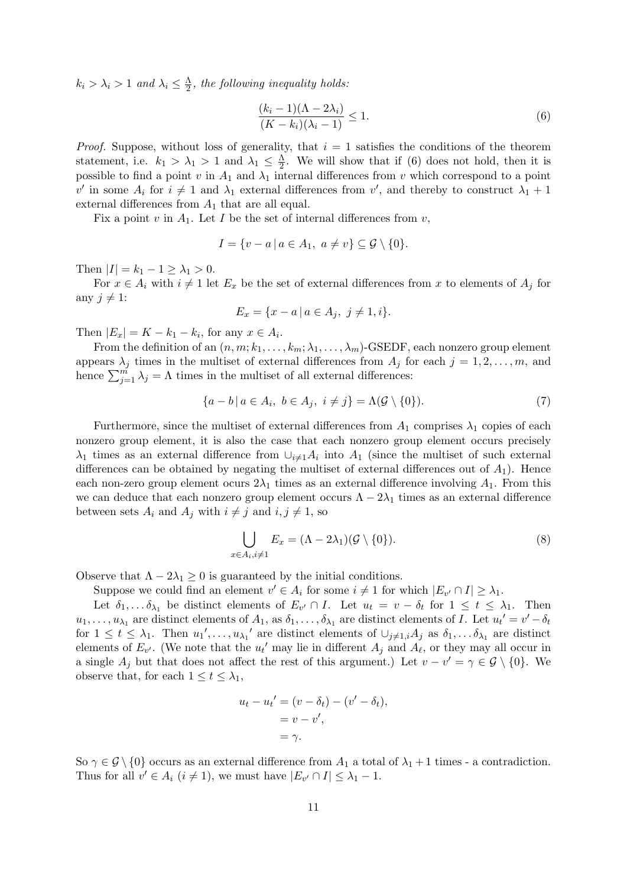$k_i > \lambda_i > 1$  and  $\lambda_i \leq \frac{\Lambda}{2}$  $\frac{\Lambda}{2}$ , the following inequality holds:

$$
\frac{(k_i - 1)(\Lambda - 2\lambda_i)}{(K - k_i)(\lambda_i - 1)} \le 1.
$$
\n
$$
(6)
$$

*Proof.* Suppose, without loss of generality, that  $i = 1$  satisfies the conditions of the theorem statement, i.e.  $k_1 > \lambda_1 > 1$  and  $\lambda_1 \leq \frac{\Lambda}{2}$  $\frac{\Lambda}{2}$ . We will show that if (6) does not hold, then it is possible to find a point v in  $A_1$  and  $\lambda_1$  internal differences from v which correspond to a point v' in some  $A_i$  for  $i \neq 1$  and  $\lambda_1$  external differences from v', and thereby to construct  $\lambda_1 + 1$ external differences from  $A_1$  that are all equal.

Fix a point v in  $A_1$ . Let I be the set of internal differences from v,

$$
I = \{v - a \mid a \in A_1, a \neq v\} \subseteq \mathcal{G} \setminus \{0\}.
$$

Then  $|I| = k_1 - 1 \ge \lambda_1 > 0$ .

For  $x \in A_i$  with  $i \neq 1$  let  $E_x$  be the set of external differences from x to elements of  $A_i$  for any  $i \neq 1$ :

$$
E_x = \{x - a \mid a \in A_j, \ j \neq 1, i\}.
$$

Then  $|E_x| = K - k_1 - k_i$ , for any  $x \in A_i$ .

From the definition of an  $(n, m; k_1, \ldots, k_m; \lambda_1, \ldots, \lambda_m)$ -GSEDF, each nonzero group element appears  $\lambda_j$  times in the multiset of external differences from  $A_j$  for each  $j = 1, 2, \ldots, m$ , and hence  $\sum_{j=1}^{m} \lambda_j = \Lambda$  times in the multiset of all external differences:

$$
\{a - b \mid a \in A_i, b \in A_j, i \neq j\} = \Lambda(\mathcal{G} \setminus \{0\}).\tag{7}
$$

Furthermore, since the multiset of external differences from  $A_1$  comprises  $\lambda_1$  copies of each nonzero group element, it is also the case that each nonzero group element occurs precisely  $\lambda_1$  times as an external difference from  $\cup_{i\neq 1}A_i$  into  $A_1$  (since the multiset of such external differences can be obtained by negating the multiset of external differences out of  $A_1$ ). Hence each non-zero group element ocurs  $2\lambda_1$  times as an external difference involving  $A_1$ . From this we can deduce that each nonzero group element occurs  $\Lambda - 2\lambda_1$  times as an external difference between sets  $A_i$  and  $A_j$  with  $i \neq j$  and  $i, j \neq 1$ , so

$$
\bigcup_{x \in A_i, i \neq 1} E_x = (\Lambda - 2\lambda_1)(\mathcal{G} \setminus \{0\}).\tag{8}
$$

Observe that  $\Lambda - 2\lambda_1 \geq 0$  is guaranteed by the initial conditions.

Suppose we could find an element  $v' \in A_i$  for some  $i \neq 1$  for which  $|E_{v'} \cap I| \geq \lambda_1$ .

Let  $\delta_1,\ldots,\delta_{\lambda_1}$  be distinct elements of  $E_{v'} \cap I$ . Let  $u_t = v - \delta_t$  for  $1 \leq t \leq \lambda_1$ . Then  $u_1,\ldots,u_{\lambda_1}$  are distinct elements of  $A_1$ , as  $\delta_1,\ldots,\delta_{\lambda_1}$  are distinct elements of I. Let  $u_t' = v' - \delta_t$ for  $1 \leq t \leq \lambda_1$ . Then  $u_1', \ldots, u_{\lambda_1}'$  are distinct elements of  $\cup_{j \neq 1, i} A_j$  as  $\delta_1, \ldots, \delta_{\lambda_1}$  are distinct elements of  $E_{v'}$ . (We note that the  $u_t'$  may lie in different  $A_j$  and  $A_{\ell}$ , or they may all occur in a single  $A_j$  but that does not affect the rest of this argument.) Let  $v - v' = \gamma \in \mathcal{G} \setminus \{0\}$ . We observe that, for each  $1 \leq t \leq \lambda_1$ ,

$$
u_t - u_t' = (v - \delta_t) - (v' - \delta_t),
$$
  
= v - v',  
=  $\gamma$ .

So  $\gamma \in \mathcal{G} \setminus \{0\}$  occurs as an external difference from  $A_1$  a total of  $\lambda_1 + 1$  times - a contradiction. Thus for all  $v' \in A_i$   $(i \neq 1)$ , we must have  $|E_{v'} \cap I| \leq \lambda_1 - 1$ .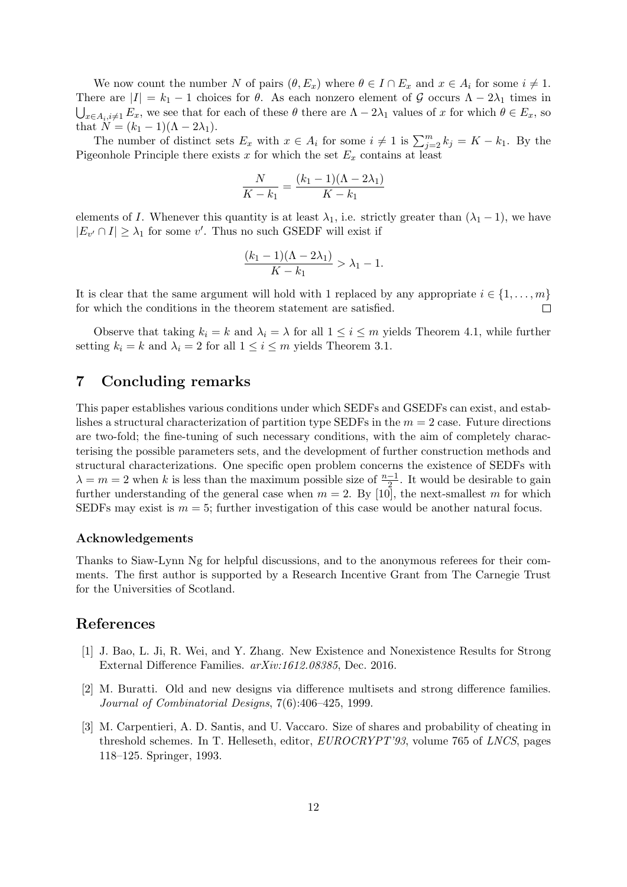We now count the number N of pairs  $(\theta, E_x)$  where  $\theta \in I \cap E_x$  and  $x \in A_i$  for some  $i \neq 1$ . There are  $|I| = k_1 - 1$  choices for  $\theta$ . As each nonzero element of G occurs  $\Lambda - 2\lambda_1$  times in  $\bigcup_{x\in A_i, i\neq 1} E_x$ , we see that for each of these  $\theta$  there are  $\Lambda - 2\lambda_1$  values of x for which  $\theta \in E_x$ , so that  $N = (k_1 - 1)(\Lambda - 2\lambda_1)$ .

The number of distinct sets  $E_x$  with  $x \in A_i$  for some  $i \neq 1$  is  $\sum_{j=2}^m k_j = K - k_1$ . By the Pigeonhole Principle there exists  $x$  for which the set  $E_x$  contains at least

$$
\frac{N}{K - k_1} = \frac{(k_1 - 1)(\Lambda - 2\lambda_1)}{K - k_1}
$$

elements of I. Whenever this quantity is at least  $\lambda_1$ , i.e. strictly greater than  $(\lambda_1 - 1)$ , we have  $|E_{v'} \cap I| \geq \lambda_1$  for some v'. Thus no such GSEDF will exist if

$$
\frac{(k_1-1)(\Lambda-2\lambda_1)}{K-k_1} > \lambda_1 - 1.
$$

It is clear that the same argument will hold with 1 replaced by any appropriate  $i \in \{1, \ldots, m\}$ for which the conditions in the theorem statement are satisfied.  $\Box$ 

Observe that taking  $k_i = k$  and  $\lambda_i = \lambda$  for all  $1 \leq i \leq m$  yields Theorem 4.1, while further setting  $k_i = k$  and  $\lambda_i = 2$  for all  $1 \leq i \leq m$  yields Theorem 3.1.

### 7 Concluding remarks

This paper establishes various conditions under which SEDFs and GSEDFs can exist, and establishes a structural characterization of partition type SEDFs in the  $m = 2$  case. Future directions are two-fold; the fine-tuning of such necessary conditions, with the aim of completely characterising the possible parameters sets, and the development of further construction methods and structural characterizations. One specific open problem concerns the existence of SEDFs with  $\lambda = m = 2$  when k is less than the maximum possible size of  $\frac{n-1}{2}$ . It would be desirable to gain further understanding of the general case when  $m = 2$ . By [10], the next-smallest m for which SEDFs may exist is  $m = 5$ ; further investigation of this case would be another natural focus.

#### Acknowledgements

Thanks to Siaw-Lynn Ng for helpful discussions, and to the anonymous referees for their comments. The first author is supported by a Research Incentive Grant from The Carnegie Trust for the Universities of Scotland.

## References

- [1] J. Bao, L. Ji, R. Wei, and Y. Zhang. New Existence and Nonexistence Results for Strong External Difference Families. arXiv:1612.08385, Dec. 2016.
- [2] M. Buratti. Old and new designs via difference multisets and strong difference families. Journal of Combinatorial Designs, 7(6):406–425, 1999.
- [3] M. Carpentieri, A. D. Santis, and U. Vaccaro. Size of shares and probability of cheating in threshold schemes. In T. Helleseth, editor, EUROCRYPT'93, volume 765 of LNCS, pages 118–125. Springer, 1993.